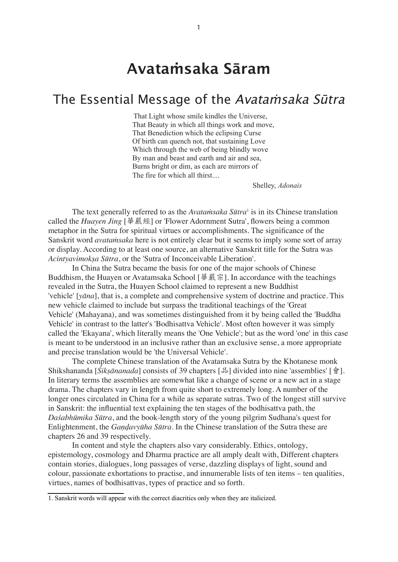## **Avataṁsaka Sāram**

## The Essential Message of the Avataṁsaka Sūtra

That Light whose smile kindles the Universe, That Beauty in which all things work and move, That Benediction which the eclipsing Curse Of birth can quench not, that sustaining Love Which through the web of being blindly wove By man and beast and earth and air and sea, Burns bright or dim, as each are mirrors of The fire for which all thirst....

Shelley, *Adonais*

<span id="page-0-1"></span>The text generally referred to as the *Avataṁsaka Sūtra*[1](#page-0-0) is in its Chinese translation called the *Huayen Jing* [華嚴經] or 'Flower Adornment Sutra', flowers being a common metaphor in the Sutra for spiritual virtues or accomplishments. The significance of the Sanskrit word *avataṁsaka* here is not entirely clear but it seems to imply some sort of array or display. According to at least one source, an alternative Sanskrit title for the Sutra was *Acintyavimokṣa Sūtra*, or the 'Sutra of Inconceivable Liberation'.

In China the Sutra became the basis for one of the major schools of Chinese Buddhism, the Huayen or Avatamsaka School  $[\frac{16}{11}, \frac{16}{16}]$ . In accordance with the teachings revealed in the Sutra, the Huayen School claimed to represent a new Buddhist 'vehicle' [*yāna*], that is, a complete and comprehensive system of doctrine and practice. This new vehicle claimed to include but surpass the traditional teachings of the 'Great Vehicle' (Mahayana), and was sometimes distinguished from it by being called the 'Buddha Vehicle' in contrast to the latter's 'Bodhisattva Vehicle'. Most often however it was simply called the 'Ekayana', which literally means the 'One Vehicle'; but as the word 'one' in this case is meant to be understood in an inclusive rather than an exclusive sense, a more appropriate and precise translation would be 'the Universal Vehicle'.

The complete Chinese translation of the Avatamsaka Sutra by the Khotanese monk Shikshananda [*Śikṣānanada*] consists of 39 chapters [品] divided into nine 'assemblies' [會]. In literary terms the assemblies are somewhat like a change of scene or a new act in a stage drama. The chapters vary in length from quite short to extremely long. A number of the longer ones circulated in China for a while as separate sutras. Two of the longest still survive in Sanskrit: the influential text explaining the ten stages of the bodhisattva path, the *Daśabhūmika Sūtra*, and the book-length story of the young pilgrim Sudhana's quest for Enlightenment, the *Gaṇḍavyūha Sūtra*. In the Chinese translation of the Sutra these are chapters 26 and 39 respectively.

In content and style the chapters also vary considerably. Ethics, ontology, epistemology, cosmology and Dharma practice are all amply dealt with, Different chapters contain stories, dialogues, long passages of verse, dazzling displays of light, sound and colour, passionate exhortations to practise, and innumerable lists of ten items – ten qualities, virtues, names of bodhisattvas, types of practice and so forth.

<span id="page-0-0"></span>[<sup>1.</sup>](#page-0-1) Sanskrit words will appear with the correct diacritics only when they are italicized.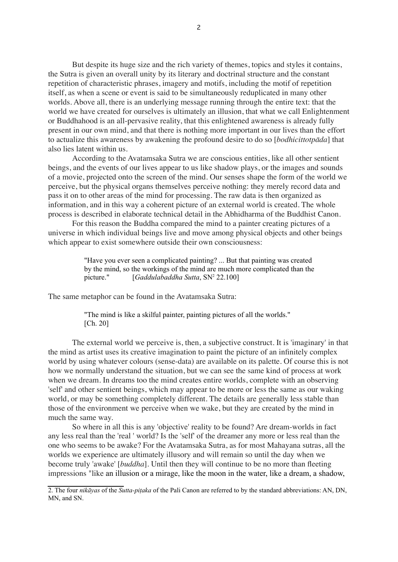But despite its huge size and the rich variety of themes, topics and styles it contains, the Sutra is given an overall unity by its literary and doctrinal structure and the constant repetition of characteristic phrases, imagery and motifs, including the motif of repetition itself, as when a scene or event is said to be simultaneously reduplicated in many other worlds. Above all, there is an underlying message running through the entire text: that the world we have created for ourselves is ultimately an illusion, that what we call Enlightenment or Buddhahood is an all-pervasive reality, that this enlightened awareness is already fully present in our own mind, and that there is nothing more important in our lives than the effort to actualize this awareness by awakening the profound desire to do so [*bodhicittotpāda*] that also lies latent within us.

According to the Avatamsaka Sutra we are conscious entities, like all other sentient beings, and the events of our lives appear to us like shadow plays, or the images and sounds of a movie, projected onto the screen of the mind. Our senses shape the form of the world we perceive, but the physical organs themselves perceive nothing: they merely record data and pass it on to other areas of the mind for processing. The raw data is then organized as information, and in this way a coherent picture of an external world is created. The whole process is described in elaborate technical detail in the Abhidharma of the Buddhist Canon.

For this reason the Buddha compared the mind to a painter creating pictures of a universe in which individual beings live and move among physical objects and other beings which appear to exist somewhere outside their own consciousness:

> "Have you ever seen a complicated painting? ... But that painting was created by the mind, so the workings of the mind are much more complicated than the picture." [*Gaddulabaddha Sutta*, SN<sup>2</sup> 22.100]

<span id="page-1-1"></span>The same metaphor can be found in the Avatamsaka Sutra:

"The mind is like a skilful painter, painting pictures of all the worlds." [Ch. 20]

The external world we perceive is, then, a subjective construct. It is 'imaginary' in that the mind as artist uses its creative imagination to paint the picture of an infinitely complex world by using whatever colours (sense-data) are available on its palette. Of course this is not how we normally understand the situation, but we can see the same kind of process at work when we dream. In dreams too the mind creates entire worlds, complete with an observing 'self' and other sentient beings, which may appear to be more or less the same as our waking world, or may be something completely different. The details are generally less stable than those of the environment we perceive when we wake, but they are created by the mind in much the same way.

So where in all this is any 'objective' reality to be found? Are dream-worlds in fact any less real than the 'real ' world? Is the 'self' of the dreamer any more or less real than the one who seems to be awake? For the Avatamsaka Sutra, as for most Mahayana sutras, all the worlds we experience are ultimately illusory and will remain so until the day when we become truly 'awake' [*buddha*]. Until then they will continue to be no more than fleeting impressions "like an illusion or a mirage, like the moon in the water, like a dream, a shadow,

<span id="page-1-0"></span>[<sup>2.</sup> T](#page-1-1)he four *nikāyas* of the *Sutta-piṭaka* of the Pali Canon are referred to by the standard abbreviations: AN, DN, MN, and SN.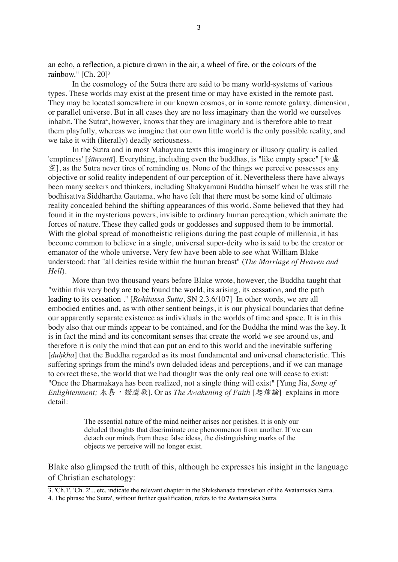<span id="page-2-2"></span>an echo, a reflection, a picture drawn in the air, a wheel of fire, or the colours of the rainbow." [Ch. 20]<sup>3</sup>

In the cosmology of the Sutra there are said to be many world-systems of various types. These worlds may exist at the present time or may have existed in the remote past. They may be located somewhere in our known cosmos, or in some remote galaxy, dimension, or parallel universe. But in all cases they are no less imaginary than the world we ourselves inhabit. The Sutra<sup>4</sup>, however, knows that they are imaginary and is therefore able to treat them playfully, whereas we imagine that our own little world is the only possible reality, and we take it with (literally) deadly seriousness.

<span id="page-2-3"></span>In the Sutra and in most Mahayana texts this imaginary or illusory quality is called 'emptiness' [*śūnyatā*]. Everything, including even the buddhas, is "like empty space" [  $\mathcal{Z}$ , as the Sutra never tires of reminding us. None of the things we perceive possesses any objective or solid reality independent of our perception of it. Nevertheless there have always been many seekers and thinkers, including Shakyamuni Buddha himself when he was still the bodhisattva Siddhartha Gautama, who have felt that there must be some kind of ultimate reality concealed behind the shifting appearances of this world. Some believed that they had found it in the mysterious powers, invisible to ordinary human perception, which animate the forces of nature. These they called gods or goddesses and supposed them to be immortal. With the global spread of monotheistic religions during the past couple of millennia, it has become common to believe in a single, universal super-deity who is said to be the creator or emanator of the whole universe. Very few have been able to see what William Blake understood: that "all deities reside within the human breast" (*The Marriage of Heaven and Hell*).

More than two thousand years before Blake wrote, however, the Buddha taught that "within this very body are to be found the world, its arising, its cessation, and the path leading to its cessation ." [*Rohitassa Sutta*, SN 2.3.6/107] In other words, we are all embodied entities and, as with other sentient beings, it is our physical boundaries that define our apparently separate existence as individuals in the worlds of time and space. It is in this body also that our minds appear to be contained, and for the Buddha the mind was the key. It is in fact the mind and its concomitant senses that create the world we see around us, and therefore it is only the mind that can put an end to this world and the inevitable suffering [*duhkha*] that the Buddha regarded as its most fundamental and universal characteristic. This suffering springs from the mind's own deluded ideas and perceptions, and if we can manage to correct these, the world that we had thought was the only real one will cease to exist: "Once the Dharmakaya has been realized, not a single thing will exist" [Yung Jia, *Song of Enlightenment; 永嘉, 道我*]. Or as *The Awakening of Faith* [起信論] explains in more detail:

> The essential nature of the mind neither arises nor perishes. It is only our deluded thoughts that discriminate one phenonmenon from another. If we can detach our minds from these false ideas, the distinguishing marks of the objects we perceive will no longer exist.

Blake also glimpsed the truth of this, although he expresses his insight in the language of Christian eschatology:

<span id="page-2-0"></span>[<sup>3.</sup>](#page-2-2) 'Ch.1', 'Ch. 2'... etc. indicate the relevant chapter in the Shikshanada translation of the Avatamsaka Sutra.

<span id="page-2-1"></span>[<sup>4.</sup> T](#page-2-3)he phrase 'the Sutra', without further qualification, refers to the Avatamsaka Sutra.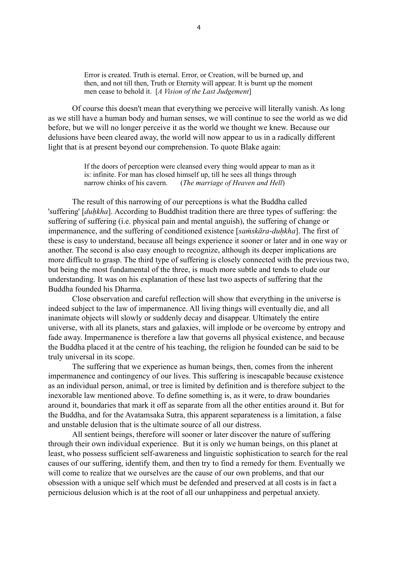Error is created. Truth is eternal. Error, or Creation, will be burned up, and then, and not till then, Truth or Eternity will appear. It is burnt up the moment men cease to behold it. [*A Vision of the Last Judgement*]

Of course this doesn't mean that everything we perceive will literally vanish. As long as we still have a human body and human senses, we will continue to see the world as we did before, but we will no longer perceive it as the world we thought we knew. Because our delusions have been cleared away, the world will now appear to us in a radically different light that is at present beyond our comprehension. To quote Blake again:

> If the doors of perception were cleansed every thing would appear to man as it is: infinite. For man has closed himself up, till he sees all things through narrow chinks of his cavern. (*The marriage of Heaven and Hell*)

The result of this narrowing of our perceptions is what the Buddha called 'suffering' [*duḥkha*]. According to Buddhist tradition there are three types of suffering: the suffering of suffering (i.e. physical pain and mental anguish), the suffering of change or impermanence, and the suffering of conditioned existence [*saṁskāra-duḥkha*]. The first of these is easy to understand, because all beings experience it sooner or later and in one way or another. The second is also easy enough to recognize, although its deeper implications are more difficult to grasp. The third type of suffering is closely connected with the previous two, but being the most fundamental of the three, is much more subtle and tends to elude our understanding. It was on his explanation of these last two aspects of suffering that the Buddha founded his Dharma.

Close observation and careful reflection will show that everything in the universe is indeed subject to the law of impermanence. All living things will eventually die, and all inanimate objects will slowly or suddenly decay and disappear. Ultimately the entire universe, with all its planets, stars and galaxies, will implode or be overcome by entropy and fade away. Impermanence is therefore a law that governs all physical existence, and because the Buddha placed it at the centre of his teaching, the religion he founded can be said to be truly universal in its scope.

The suffering that we experience as human beings, then, comes from the inherent impermanence and contingency of our lives. This suffering is inescapable because existence as an individual person, animal, or tree is limited by definition and is therefore subject to the inexorable law mentioned above. To define something is, as it were, to draw boundaries around it, boundaries that mark it off as separate from all the other entities around it. But for the Buddha, and for the Avatamsaka Sutra, this apparent separateness is a limitation, a false and unstable delusion that is the ultimate source of all our distress.

All sentient beings, therefore will sooner or later discover the nature of suffering through their own individual experience. But it is only we human beings, on this planet at least, who possess sufficient self-awareness and linguistic sophistication to search for the real causes of our suffering, identify them, and then try to find a remedy for them. Eventually we will come to realize that we ourselves are the cause of our own problems, and that our obsession with a unique self which must be defended and preserved at all costs is in fact a pernicious delusion which is at the root of all our unhappiness and perpetual anxiety.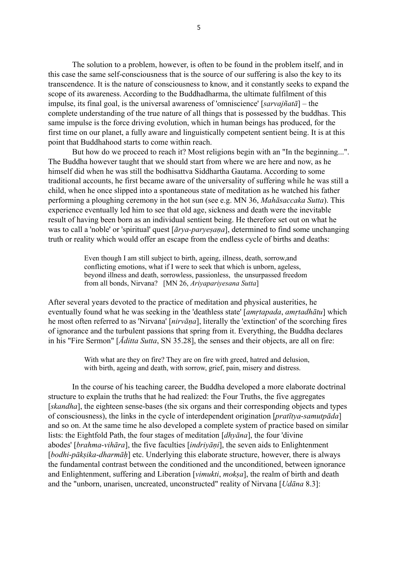The solution to a problem, however, is often to be found in the problem itself, and in this case the same self-consciousness that is the source of our suffering is also the key to its transcendence. It is the nature of consciousness to know, and it constantly seeks to expand the scope of its awareness. According to the Buddhadharma, the ultimate fulfilment of this impulse, its final goal, is the universal awareness of 'omniscience' [*sarvajñatā*] – the complete understanding of the true nature of all things that is possessed by the buddhas. This same impulse is the force driving evolution, which in human beings has produced, for the first time on our planet, a fully aware and linguistically competent sentient being. It is at this point that Buddhahood starts to come within reach.

But how do we proceed to reach it? Most religions begin with an "In the beginning...". The Buddha however taught that we should start from where we are here and now, as he himself did when he was still the bodhisattva Siddhartha Gautama. According to some traditional accounts, he first became aware of the universality of suffering while he was still a child, when he once slipped into a spontaneous state of meditation as he watched his father performing a ploughing ceremony in the hot sun (see e.g. MN 36, *Mahāsaccaka Sutta*). This experience eventually led him to see that old age, sickness and death were the inevitable result of having been born as an individual sentient being. He therefore set out on what he was to call a 'noble' or 'spiritual' quest [*ārya-paryeṣaṇa*], determined to find some unchanging truth or reality which would offer an escape from the endless cycle of births and deaths:

> Even though I am still subject to birth, ageing, illness, death, sorrow,and conflicting emotions, what if I were to seek that which is unborn, ageless, beyond illness and death, sorrowless, passionless, the unsurpassed freedom from all bonds, Nirvana? [MN 26, *Ariyapariyesana Sutta*]

After several years devoted to the practice of meditation and physical austerities, he eventually found what he was seeking in the 'deathless state' [*amṛtapada*, *amṛtadhātu*] which he most often referred to as 'Nirvana' [*nirvāṇa*], literally the 'extinction' of the scorching fires of ignorance and the turbulent passions that spring from it. Everything, the Buddha declares in his "Fire Sermon" [*Āditta Sutta*, SN 35.28], the senses and their objects, are all on fire:

> With what are they on fire? They are on fire with greed, hatred and delusion, with birth, ageing and death, with sorrow, grief, pain, misery and distress.

In the course of his teaching career, the Buddha developed a more elaborate doctrinal structure to explain the truths that he had realized: the Four Truths, the five aggregates [*skandha*], the eighteen sense-bases (the six organs and their corresponding objects and types of consciousness), the links in the cycle of interdependent origination [*pratītya*-*samutpāda*] and so on. At the same time he also developed a complete system of practice based on similar lists: the Eightfold Path, the four stages of meditation [*dhyāna*], the four 'divine abodes' [*brahma-vihāra*], the five faculties [*indriyāṇi*], the seven aids to Enlightenment [*bodhi-pāksika-dharmāh*] etc. Underlying this elaborate structure, however, there is always the fundamental contrast between the conditioned and the unconditioned, between ignorance and Enlightenment, suffering and Liberation [*vimukti*, *mokṣa*], the realm of birth and death and the "unborn, unarisen, uncreated, unconstructed" reality of Nirvana [*Udāna* 8.3]: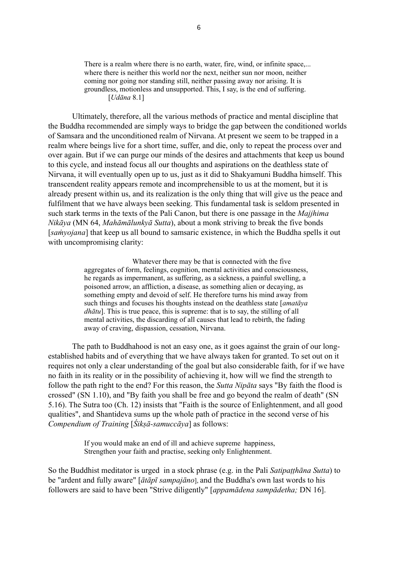There is a realm where there is no earth, water, fire, wind, or infinite space.... where there is neither this world nor the next, neither sun nor moon, neither coming nor going nor standing still, neither passing away nor arising. It is groundless, motionless and unsupported. This, I say, is the end of suffering. [*Udāna* 8.1]

Ultimately, therefore, all the various methods of practice and mental discipline that the Buddha recommended are simply ways to bridge the gap between the conditioned worlds of Samsara and the unconditioned realm of Nirvana. At present we seem to be trapped in a realm where beings live for a short time, suffer, and die, only to repeat the process over and over again. But if we can purge our minds of the desires and attachments that keep us bound to this cycle, and instead focus all our thoughts and aspirations on the deathless state of Nirvana, it will eventually open up to us, just as it did to Shakyamuni Buddha himself. This transcendent reality appears remote and incomprehensible to us at the moment, but it is already present within us, and its realization is the only thing that will give us the peace and fulfilment that we have always been seeking. This fundamental task is seldom presented in such stark terms in the texts of the Pali Canon, but there is one passage in the *Majjhima Nikāya* (MN 64, *Mahāmālunkyā Sutta*), about a monk striving to break the five bonds [*saṁyojana*] that keep us all bound to samsaric existence, in which the Buddha spells it out with uncompromising clarity:

> Whatever there may be that is connected with the five aggregates of form, feelings, cognition, mental activities and consciousness, he regards as impermanent, as suffering, as a sickness, a painful swelling, a poisoned arrow, an affliction, a disease, as something alien or decaying, as something empty and devoid of self. He therefore turns his mind away from such things and focuses his thoughts instead on the deathless state [*amatāya dhātu*]. This is true peace, this is supreme: that is to say, the stilling of all mental activities, the discarding of all causes that lead to rebirth, the fading away of craving, dispassion, cessation, Nirvana.

The path to Buddhahood is not an easy one, as it goes against the grain of our longestablished habits and of everything that we have always taken for granted. To set out on it requires not only a clear understanding of the goal but also considerable faith, for if we have no faith in its reality or in the possibility of achieving it, how will we find the strength to follow the path right to the end? For this reason, the *Sutta Nipāta* says "By faith the flood is crossed" (SN 1.10), and "By faith you shall be free and go beyond the realm of death" (SN 5.16). The Sutra too (Ch. 12) insists that "Faith is the source of Enlightenment, and all good qualities", and Shantideva sums up the whole path of practice in the second verse of his *Compendium of Training* [*Śikṣā-samuccāya*] as follows:

> If you would make an end of ill and achieve supreme happiness, Strengthen your faith and practise, seeking only Enlightenment.

So the Buddhist meditator is urged in a stock phrase (e.g. in the Pali *Satipaṭṭhāna Sutta*) to be "ardent and fully aware" [*ātāpī sampajāno*], and the Buddha's own last words to his followers are said to have been "Strive diligently" [*appamādena sampādetha;* DN 16].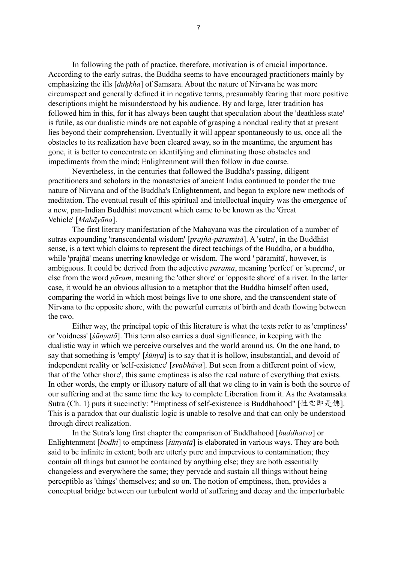In following the path of practice, therefore, motivation is of crucial importance. According to the early sutras, the Buddha seems to have encouraged practitioners mainly by emphasizing the ills [*duḥkha*] of Samsara. About the nature of Nirvana he was more circumspect and generally defined it in negative terms, presumably fearing that more positive descriptions might be misunderstood by his audience. By and large, later tradition has followed him in this, for it has always been taught that speculation about the 'deathless state' is futile, as our dualistic minds are not capable of grasping a nondual reality that at present lies beyond their comprehension. Eventually it will appear spontaneously to us, once all the obstacles to its realization have been cleared away, so in the meantime, the argument has gone, it is better to concentrate on identifying and eliminating those obstacles and impediments from the mind; Enlightenment will then follow in due course.

Nevertheless, in the centuries that followed the Buddha's passing, diligent practitioners and scholars in the monasteries of ancient India continued to ponder the true nature of Nirvana and of the Buddha's Enlightenment, and began to explore new methods of meditation. The eventual result of this spiritual and intellectual inquiry was the emergence of a new, pan-Indian Buddhist movement which came to be known as the 'Great Vehicle' [*Mahāyāna*].

The first literary manifestation of the Mahayana was the circulation of a number of sutras expounding 'transcendental wisdom' [*prajñā-pāramitā*]. A 'sutra', in the Buddhist sense, is a text which claims to represent the direct teachings of the Buddha, or a buddha, while 'prajñā' means unerring knowledge or wisdom. The word ' pāramitā', however, is ambiguous. It could be derived from the adjective *parama*, meaning 'perfect' or 'supreme', or else from the word *pāram*, meaning the 'other shore' or 'opposite shore' of a river. In the latter case, it would be an obvious allusion to a metaphor that the Buddha himself often used, comparing the world in which most beings live to one shore, and the transcendent state of Nirvana to the opposite shore, with the powerful currents of birth and death flowing between the two.

Either way, the principal topic of this literature is what the texts refer to as 'emptiness' or 'voidness' [*śūnyatā*]. This term also carries a dual significance, in keeping with the dualistic way in which we perceive ourselves and the world around us. On the one hand, to say that something is 'empty' [*śūnya*] is to say that it is hollow, insubstantial, and devoid of independent reality or 'self-existence' [*svabhāva*]. But seen from a different point of view, that of the 'other shore', this same emptiness is also the real nature of everything that exists. In other words, the empty or illusory nature of all that we cling to in vain is both the source of our suffering and at the same time the key to complete Liberation from it. As the Avatamsaka Sutra (Ch. 1) puts it succinctly: "Emptiness of self-existence is Buddhahood" [性空即是佛]. This is a paradox that our dualistic logic is unable to resolve and that can only be understood through direct realization.

In the Sutra's long first chapter the comparison of Buddhahood [*buddhatva*] or Enlightenment [*bodhi*] to emptiness [*śūnyatā*] is elaborated in various ways. They are both said to be infinite in extent; both are utterly pure and impervious to contamination; they contain all things but cannot be contained by anything else; they are both essentially changeless and everywhere the same; they pervade and sustain all things without being perceptible as 'things' themselves; and so on. The notion of emptiness, then, provides a conceptual bridge between our turbulent world of suffering and decay and the imperturbable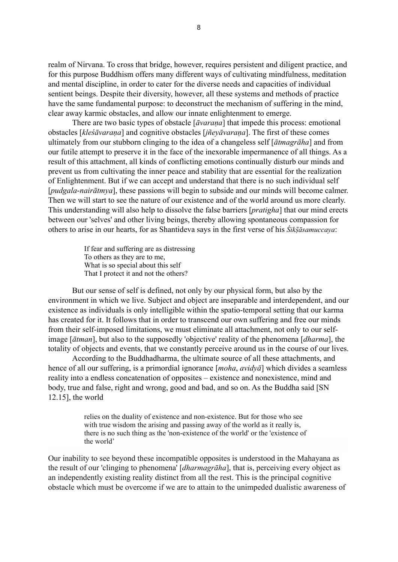realm of Nirvana. To cross that bridge, however, requires persistent and diligent practice, and for this purpose Buddhism offers many different ways of cultivating mindfulness, meditation and mental discipline, in order to cater for the diverse needs and capacities of individual sentient beings. Despite their diversity, however, all these systems and methods of practice have the same fundamental purpose: to deconstruct the mechanism of suffering in the mind, clear away karmic obstacles, and allow our innate enlightenment to emerge.

There are two basic types of obstacle [*āvaraṇa*] that impede this process: emotional obstacles [*kleśāvaraṇa*] and cognitive obstacles [*jñeyāvaraṇa*]. The first of these comes ultimately from our stubborn clinging to the idea of a changeless self [*ātmagrāha*] and from our futile attempt to preserve it in the face of the inexorable impermanence of all things. As a result of this attachment, all kinds of conflicting emotions continually disturb our minds and prevent us from cultivating the inner peace and stability that are essential for the realization of Enlightenment. But if we can accept and understand that there is no such individual self [*pudgala*-*nairātmya*], these passions will begin to subside and our minds will become calmer. Then we will start to see the nature of our existence and of the world around us more clearly. This understanding will also help to dissolve the false barriers [*pratigha*] that our mind erects between our 'selves' and other living beings, thereby allowing spontaneous compassion for others to arise in our hearts, for as Shantideva says in the first verse of his *Śikṣ̄āsamuccaya*:

> If fear and suffering are as distressing To others as they are to me, What is so special about this self That I protect it and not the others?

But our sense of self is defined, not only by our physical form, but also by the environment in which we live. Subject and object are inseparable and interdependent, and our existence as individuals is only intelligible within the spatio-temporal setting that our karma has created for it. It follows that in order to transcend our own suffering and free our minds from their self-imposed limitations, we must eliminate all attachment, not only to our selfimage [*ātman*], but also to the supposedly 'objective' reality of the phenomena [*dharma*], the totality of objects and events, that we constantly perceive around us in the course of our lives.

According to the Buddhadharma, the ultimate source of all these attachments, and hence of all our suffering, is a primordial ignorance [*moha*, *avidyā*] which divides a seamless reality into a endless concatenation of opposites – existence and nonexistence, mind and body, true and false, right and wrong, good and bad, and so on. As the Buddha said [SN 12.15], the world

> relies on the duality of existence and non-existence. But for those who see with true wisdom the arising and passing away of the world as it really is, there is no such thing as the 'non-existence of the world' or the 'existence of the world'

Our inability to see beyond these incompatible opposites is understood in the Mahayana as the result of our 'clinging to phenomena' [*dharmagrāha*], that is, perceiving every object as an independently existing reality distinct from all the rest. This is the principal cognitive obstacle which must be overcome if we are to attain to the unimpeded dualistic awareness of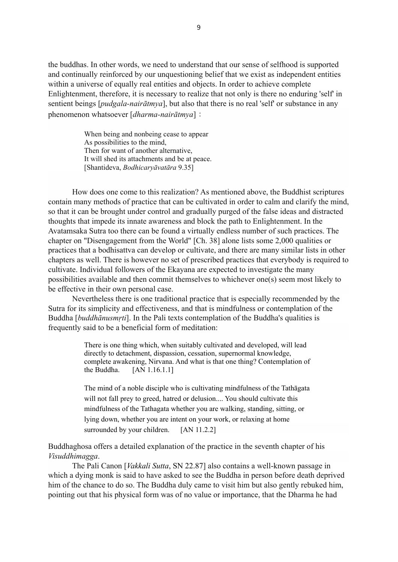the buddhas. In other words, we need to understand that our sense of selfhood is supported and continually reinforced by our unquestioning belief that we exist as independent entities within a universe of equally real entities and objects. In order to achieve complete Enlightenment, therefore, it is necessary to realize that not only is there no enduring 'self' in sentient beings [*pudgala-nairātmya*], but also that there is no real 'self' or substance in any phenomenon whatsoever [*dharma-nairātmya*]

> When being and nonbeing cease to appear As possibilities to the mind, Then for want of another alternative, It will shed its attachments and be at peace. [Shantideva, *Bodhicaryāvatāra* 9.35]

How does one come to this realization? As mentioned above, the Buddhist scriptures contain many methods of practice that can be cultivated in order to calm and clarify the mind, so that it can be brought under control and gradually purged of the false ideas and distracted thoughts that impede its innate awareness and block the path to Enlightenment. In the Avatamsaka Sutra too there can be found a virtually endless number of such practices. The chapter on "Disengagement from the World" [Ch. 38] alone lists some 2,000 qualities or practices that a bodhisattva can develop or cultivate, and there are many similar lists in other chapters as well. There is however no set of prescribed practices that everybody is required to cultivate. Individual followers of the Ekayana are expected to investigate the many possibilities available and then commit themselves to whichever one(s) seem most likely to be effective in their own personal case.

Nevertheless there is one traditional practice that is especially recommended by the Sutra for its simplicity and effectiveness, and that is mindfulness or contemplation of the Buddha [*buddhānusmṛti*]. In the Pali texts contemplation of the Buddha's qualities is frequently said to be a beneficial form of meditation:

> There is one thing which, when suitably cultivated and developed, will lead directly to detachment, dispassion, cessation, supernormal knowledge, complete awakening, Nirvana. And what is that one thing? Contemplation of the Buddha.  $[AN 1.16.1.1]$

> The mind of a noble disciple who is cultivating mindfulness of the Tathāgata will not fall prey to greed, hatred or delusion.... You should cultivate this mindfulness of the Tathagata whether you are walking, standing, sitting, or lying down, whether you are intent on your work, or relaxing at home surrounded by your children. [AN 11.2.2]

Buddhaghosa offers a detailed explanation of the practice in the seventh chapter of his *Visuddhimagga*.

The Pali Canon [*Vakkali Sutta*, SN 22.87] also contains a well-known passage in which a dying monk is said to have asked to see the Buddha in person before death deprived him of the chance to do so. The Buddha duly came to visit him but also gently rebuked him, pointing out that his physical form was of no value or importance, that the Dharma he had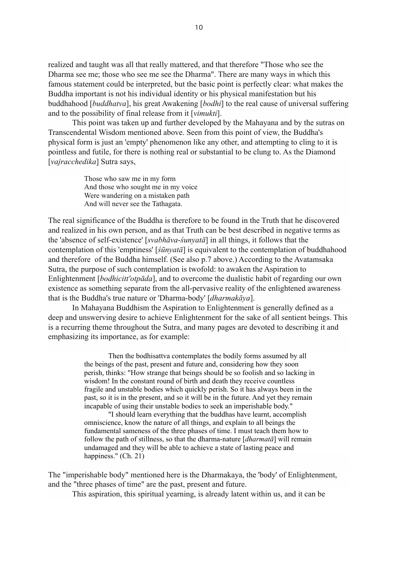realized and taught was all that really mattered, and that therefore "Those who see the Dharma see me; those who see me see the Dharma". There are many ways in which this famous statement could be interpreted, but the basic point is perfectly clear: what makes the Buddha important is not his individual identity or his physical manifestation but his buddhahood [*buddhatva*], his great Awakening [*bodhi*] to the real cause of universal suffering and to the possibility of final release from it [*vimukti*].

This point was taken up and further developed by the Mahayana and by the sutras on Transcendental Wisdom mentioned above. Seen from this point of view, the Buddha's physical form is just an 'empty' phenomenon like any other, and attempting to cling to it is pointless and futile, for there is nothing real or substantial to be clung to. As the Diamond [*vajracchedika*] Sutra says,

> Those who saw me in my form And those who sought me in my voice Were wandering on a mistaken path And will never see the Tathagata.

The real significance of the Buddha is therefore to be found in the Truth that he discovered and realized in his own person, and as that Truth can be best described in negative terms as the 'absence of self-existence' [*svabhāva*-*śunyatā*] in all things, it follows that the contemplation of this 'emptiness' [*śūnyatā*] is equivalent to the contemplation of buddhahood and therefore of the Buddha himself. (See also p.7 above.) According to the Avatamsaka Sutra, the purpose of such contemplation is twofold: to awaken the Aspiration to Enlightenment [*bodhicitt'otpāda*], and to overcome the dualistic habit of regarding our own existence as something separate from the all-pervasive reality of the enlightened awareness that is the Buddha's true nature or 'Dharma-body' [*dharmakāya*].

In Mahayana Buddhism the Aspiration to Enlightenment is generally defined as a deep and unswerving desire to achieve Enlightenment for the sake of all sentient beings. This is a recurring theme throughout the Sutra, and many pages are devoted to describing it and emphasizing its importance, as for example:

> Then the bodhisattva contemplates the bodily forms assumed by all the beings of the past, present and future and, considering how they soon perish, thinks: "How strange that beings should be so foolish and so lacking in wisdom! In the constant round of birth and death they receive countless fragile and unstable bodies which quickly perish. So it has always been in the past, so it is in the present, and so it will be in the future. And yet they remain incapable of using their unstable bodies to seek an imperishable body."

"I should learn everything that the buddhas have learnt, accomplish omniscience, know the nature of all things, and explain to all beings the fundamental sameness of the three phases of time. I must teach them how to follow the path of stillness, so that the dharma-nature [*dharmatā*] will remain undamaged and they will be able to achieve a state of lasting peace and happiness." (Ch. 21)

The "imperishable body" mentioned here is the Dharmakaya, the 'body' of Enlightenment, and the "three phases of time" are the past, present and future.

This aspiration, this spiritual yearning, is already latent within us, and it can be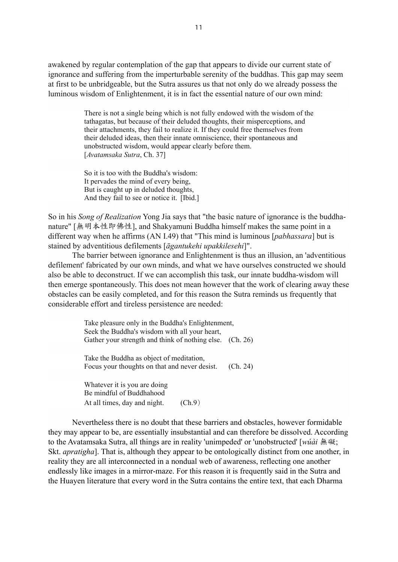awakened by regular contemplation of the gap that appears to divide our current state of ignorance and suffering from the imperturbable serenity of the buddhas. This gap may seem at first to be unbridgeable, but the Sutra assures us that not only do we already possess the luminous wisdom of Enlightenment, it is in fact the essential nature of our own mind:

> There is not a single being which is not fully endowed with the wisdom of the tathagatas, but because of their deluded thoughts, their misperceptions, and their attachments, they fail to realize it. If they could free themselves from their deluded ideas, then their innate omniscience, their spontaneous and unobstructed wisdom, would appear clearly before them. [*Avatamsaka Sutra*, Ch. 37]

So it is too with the Buddha's wisdom: It pervades the mind of every being, But is caught up in deluded thoughts, And they fail to see or notice it. [Ibid.]

So in his *Song of Realization* Yong Jia says that "the basic nature of ignorance is the buddhanature" [無明本性即佛性], and Shakyamuni Buddha himself makes the same point in a different way when he affirms (AN I.49) that "This mind is luminous [*pabhassara*] but is stained by adventitious defilements [*āgantukehi upakkilesehi*]".

The barrier between ignorance and Enlightenment is thus an illusion, an 'adventitious defilement' fabricated by our own minds, and what we have ourselves constructed we should also be able to deconstruct. If we can accomplish this task, our innate buddha-wisdom will then emerge spontaneously. This does not mean however that the work of clearing away these obstacles can be easily completed, and for this reason the Sutra reminds us frequently that considerable effort and tireless persistence are needed:

> Take pleasure only in the Buddha's Enlightenment, Seek the Buddha's wisdom with all your heart, Gather your strength and think of nothing else. (Ch. 26)

> Take the Buddha as object of meditation, Focus your thoughts on that and never desist. (Ch. 24)

Whatever it is you are doing Be mindful of Buddhahood At all times, day and night. (Ch.9)

Nevertheless there is no doubt that these barriers and obstacles, however formidable they may appear to be, are essentially insubstantial and can therefore be dissolved. According to the Avatamsaka Sutra, all things are in reality 'unimpeded' or 'unobstructed' [*wúài* 無礙; Skt. *apratigha*]. That is, although they appear to be ontologically distinct from one another, in reality they are all interconnected in a nondual web of awareness, reflecting one another endlessly like images in a mirror-maze. For this reason it is frequently said in the Sutra and the Huayen literature that every word in the Sutra contains the entire text, that each Dharma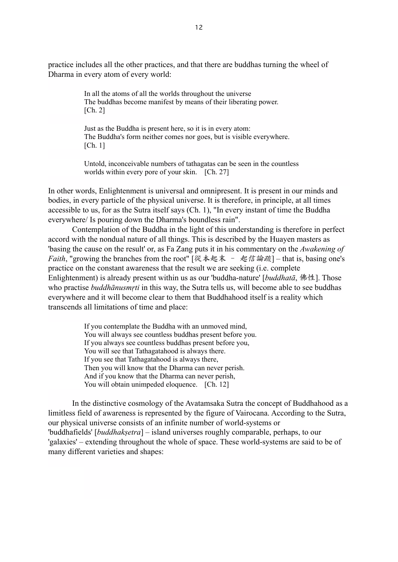practice includes all the other practices, and that there are buddhas turning the wheel of Dharma in every atom of every world:

> In all the atoms of all the worlds throughout the universe The buddhas become manifest by means of their liberating power. [Ch. 2]

Just as the Buddha is present here, so it is in every atom: The Buddha's form neither comes nor goes, but is visible everywhere. [Ch. 1]

Untold, inconceivable numbers of tathagatas can be seen in the countless worlds within every pore of your skin. [Ch. 27]

In other words, Enlightenment is universal and omnipresent. It is present in our minds and bodies, in every particle of the physical universe. It is therefore, in principle, at all times accessible to us, for as the Sutra itself says (Ch. 1), "In every instant of time the Buddha everywhere/ Is pouring down the Dharma's boundless rain".

Contemplation of the Buddha in the light of this understanding is therefore in perfect accord with the nondual nature of all things. This is described by the Huayen masters as 'basing the cause on the result' or, as Fa Zang puts it in his commentary on the *Awakening of Faith*, "growing the branches from the root" [從本起末 - 起信論疏] – that is, basing one's practice on the constant awareness that the result we are seeking (i.e. complete Enlightenment) is already present within us as our 'buddha-nature' [*buddhatā*, ]. Those who practise *buddhānusmṛti* in this way, the Sutra tells us, will become able to see buddhas everywhere and it will become clear to them that Buddhahood itself is a reality which transcends all limitations of time and place:

> If you contemplate the Buddha with an unmoved mind, You will always see countless buddhas present before you. If you always see countless buddhas present before you, You will see that Tathagatahood is always there. If you see that Tathagatahood is always there, Then you will know that the Dharma can never perish. And if you know that the Dharma can never perish, You will obtain unimpeded eloquence. [Ch. 12]

In the distinctive cosmology of the Avatamsaka Sutra the concept of Buddhahood as a limitless field of awareness is represented by the figure of Vairocana. According to the Sutra, our physical universe consists of an infinite number of world-systems or 'buddhafields' [*buddhakṣetra*] – island universes roughly comparable, perhaps, to our 'galaxies' – extending throughout the whole of space. These world-systems are said to be of many different varieties and shapes: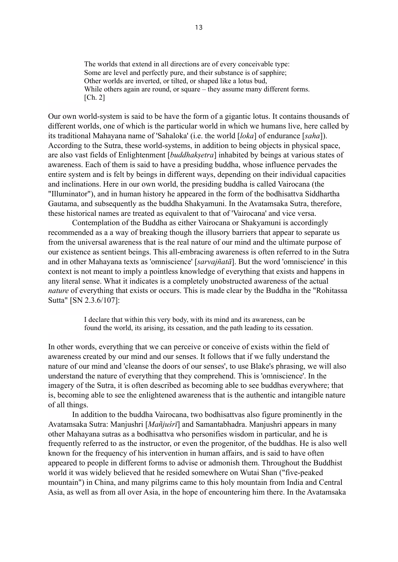The worlds that extend in all directions are of every conceivable type: Some are level and perfectly pure, and their substance is of sapphire; Other worlds are inverted, or tilted, or shaped like a lotus bud, While others again are round, or square – they assume many different forms. [Ch. 2]

Our own world-system is said to be have the form of a gigantic lotus. It contains thousands of different worlds, one of which is the particular world in which we humans live, here called by its traditional Mahayana name of 'Sahaloka' (i.e. the world [*loka*] of endurance [*saha*]). According to the Sutra, these world-systems, in addition to being objects in physical space, are also vast fields of Enlightenment [*buddhakṣetra*] inhabited by beings at various states of awareness. Each of them is said to have a presiding buddha, whose influence pervades the entire system and is felt by beings in different ways, depending on their individual capacities and inclinations. Here in our own world, the presiding buddha is called Vairocana (the "Illuminator"), and in human history he appeared in the form of the bodhisattva Siddhartha Gautama, and subsequently as the buddha Shakyamuni. In the Avatamsaka Sutra, therefore, these historical names are treated as equivalent to that of 'Vairocana' and vice versa.

Contemplation of the Buddha as either Vairocana or Shakyamuni is accordingly recommended as a a way of breaking though the illusory barriers that appear to separate us from the universal awareness that is the real nature of our mind and the ultimate purpose of our existence as sentient beings. This all-embracing awareness is often referred to in the Sutra and in other Mahayana texts as 'omniscience' [*sarvajñatā*]. But the word 'omniscience' in this context is not meant to imply a pointless knowledge of everything that exists and happens in any literal sense. What it indicates is a completely unobstructed awareness of the actual *nature* of everything that exists or occurs. This is made clear by the Buddha in the "Rohitassa Sutta" [SN 2.3.6/107]:

> I declare that within this very body, with its mind and its awareness, can be found the world, its arising, its cessation, and the path leading to its cessation.

In other words, everything that we can perceive or conceive of exists within the field of awareness created by our mind and our senses. It follows that if we fully understand the nature of our mind and 'cleanse the doors of our senses', to use Blake's phrasing, we will also understand the nature of everything that they comprehend. This is 'omniscience'. In the imagery of the Sutra, it is often described as becoming able to see buddhas everywhere; that is, becoming able to see the enlightened awareness that is the authentic and intangible nature of all things.

In addition to the buddha Vairocana, two bodhisattvas also figure prominently in the Avatamsaka Sutra: Manjushri [*Mañjuśrī*] and Samantabhadra. Manjushri appears in many other Mahayana sutras as a bodhisattva who personifies wisdom in particular, and he is frequently referred to as the instructor, or even the progenitor, of the buddhas. He is also well known for the frequency of his intervention in human affairs, and is said to have often appeared to people in different forms to advise or admonish them. Throughout the Buddhist world it was widely believed that he resided somewhere on Wutai Shan ("five-peaked mountain") in China, and many pilgrims came to this holy mountain from India and Central Asia, as well as from all over Asia, in the hope of encountering him there. In the Avatamsaka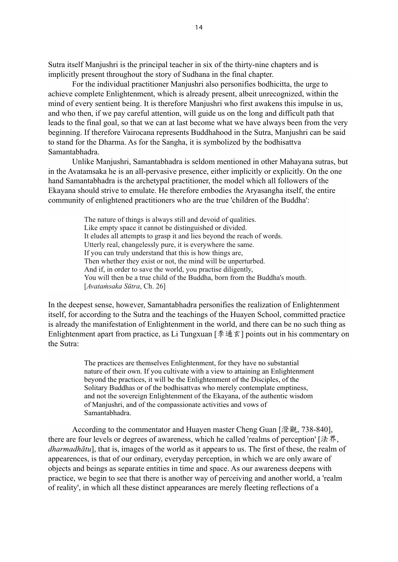Sutra itself Manjushri is the principal teacher in six of the thirty-nine chapters and is implicitly present throughout the story of Sudhana in the final chapter.

For the individual practitioner Manjushri also personifies bodhicitta, the urge to achieve complete Enlightenment, which is already present, albeit unrecognized, within the mind of every sentient being. It is therefore Manjushri who first awakens this impulse in us, and who then, if we pay careful attention, will guide us on the long and difficult path that leads to the final goal, so that we can at last become what we have always been from the very beginning. If therefore Vairocana represents Buddhahood in the Sutra, Manjushri can be said to stand for the Dharma. As for the Sangha, it is symbolized by the bodhisattva Samantabhadra.

Unlike Manjushri, Samantabhadra is seldom mentioned in other Mahayana sutras, but in the Avatamsaka he is an all-pervasive presence, either implicitly or explicitly. On the one hand Samantabhadra is the archetypal practitioner, the model which all followers of the Ekayana should strive to emulate. He therefore embodies the Aryasangha itself, the entire community of enlightened practitioners who are the true 'children of the Buddha':

> The nature of things is always still and devoid of qualities. Like empty space it cannot be distinguished or divided. It eludes all attempts to grasp it and lies beyond the reach of words. Utterly real, changelessly pure, it is everywhere the same. If you can truly understand that this is how things are, Then whether they exist or not, the mind will be unperturbed. And if, in order to save the world, you practise diligently, You will then be a true child of the Buddha, born from the Buddha's mouth. [*Avataṁsaka Sūtra*, Ch. 26]

In the deepest sense, however, Samantabhadra personifies the realization of Enlightenment itself, for according to the Sutra and the teachings of the Huayen School, committed practice is already the manifestation of Enlightenment in the world, and there can be no such thing as Enlightenment apart from practice, as Li Tungxuan  $[\frac{1}{2} \oplus \frac{1}{2} \times \frac{1}{2}]$  points out in his commentary on the Sutra:

> The practices are themselves Enlightenment, for they have no substantial nature of their own. If you cultivate with a view to attaining an Enlightenment beyond the practices, it will be the Enlightenment of the Disciples, of the Solitary Buddhas or of the bodhisattvas who merely contemplate emptiness, and not the sovereign Enlightenment of the Ekayana, of the authentic wisdom of Manjushri, and of the compassionate activities and vows of Samantabhadra.

According to the commentator and Huayen master Cheng Guan [澄觀, 738-840], there are four levels or degrees of awareness, which he called 'realms of perception' [法界, *dharmadhātu*], that is, images of the world as it appears to us. The first of these, the realm of appearences, is that of our ordinary, everyday perception, in which we are only aware of objects and beings as separate entities in time and space. As our awareness deepens with practice, we begin to see that there is another way of perceiving and another world, a 'realm of reality', in which all these distinct appearances are merely fleeting reflections of a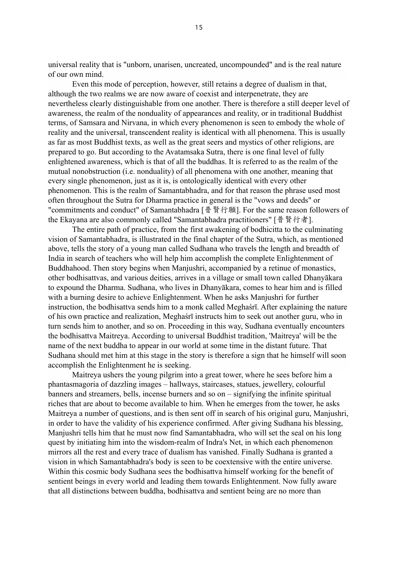universal reality that is "unborn, unarisen, uncreated, uncompounded" and is the real nature of our own mind.

Even this mode of perception, however, still retains a degree of dualism in that, although the two realms we are now aware of coexist and interpenetrate, they are nevertheless clearly distinguishable from one another. There is therefore a still deeper level of awareness, the realm of the nonduality of appearances and reality, or in traditional Buddhist terms, of Samsara and Nirvana, in which every phenomenon is seen to embody the whole of reality and the universal, transcendent reality is identical with all phenomena. This is usually as far as most Buddhist texts, as well as the great seers and mystics of other religions, are prepared to go. But according to the Avatamsaka Sutra, there is one final level of fully enlightened awareness, which is that of all the buddhas. It is referred to as the realm of the mutual nonobstruction (i.e. nonduality) of all phenomena with one another, meaning that every single phenomenon, just as it is, is ontologically identical with every other phenomenon. This is the realm of Samantabhadra, and for that reason the phrase used most often throughout the Sutra for Dharma practice in general is the "vows and deeds" or "commitments and conduct" of Samantabhadra [普賢行願]. For the same reason followers of the Ekayana are also commonly called "Samantabhadra practitioners" [ 普 賢 行 者 ].

The entire path of practice, from the first awakening of bodhicitta to the culminating vision of Samantabhadra, is illustrated in the final chapter of the Sutra, which, as mentioned above, tells the story of a young man called Sudhana who travels the length and breadth of India in search of teachers who will help him accomplish the complete Enlightenment of Buddhahood. Then story begins when Manjushri, accompanied by a retinue of monastics, other bodhisattvas, and various deities, arrives in a village or small town called Dhanyākara to expound the Dharma. Sudhana, who lives in Dhanyākara, comes to hear him and is filled with a burning desire to achieve Enlightenment. When he asks Manjushri for further instruction, the bodhisattva sends him to a monk called Meghaśrī. After explaining the nature of his own practice and realization, Meghaśrī instructs him to seek out another guru, who in turn sends him to another, and so on. Proceeding in this way, Sudhana eventually encounters the bodhisattva Maitreya. According to universal Buddhist tradition, 'Maitreya' will be the name of the next buddha to appear in our world at some time in the distant future. That Sudhana should met him at this stage in the story is therefore a sign that he himself will soon accomplish the Enlightenment he is seeking.

Maitreya ushers the young pilgrim into a great tower, where he sees before him a phantasmagoria of dazzling images – hallways, staircases, statues, jewellery, colourful banners and streamers, bells, incense burners and so on – signifying the infinite spiritual riches that are about to become available to him. When he emerges from the tower, he asks Maitreya a number of questions, and is then sent off in search of his original guru, Manjushri, in order to have the validity of his experience confirmed. After giving Sudhana his blessing, Manjushri tells him that he must now find Samantabhadra, who will set the seal on his long quest by initiating him into the wisdom-realm of Indra's Net, in which each phenomenon mirrors all the rest and every trace of dualism has vanished. Finally Sudhana is granted a vision in which Samantabhadra's body is seen to be coextensive with the entire universe. Within this cosmic body Sudhana sees the bodhisattva himself working for the benefit of sentient beings in every world and leading them towards Enlightenment. Now fully aware that all distinctions between buddha, bodhisattva and sentient being are no more than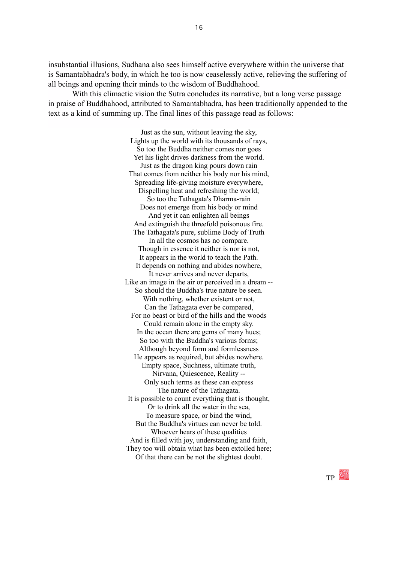insubstantial illusions, Sudhana also sees himself active everywhere within the universe that is Samantabhadra's body, in which he too is now ceaselessly active, relieving the suffering of all beings and opening their minds to the wisdom of Buddhahood.

With this climactic vision the Sutra concludes its narrative, but a long verse passage in praise of Buddhahood, attributed to Samantabhadra, has been traditionally appended to the text as a kind of summing up. The final lines of this passage read as follows:

> Just as the sun, without leaving the sky, Lights up the world with its thousands of rays, So too the Buddha neither comes nor goes Yet his light drives darkness from the world. Just as the dragon king pours down rain That comes from neither his body nor his mind, Spreading life-giving moisture everywhere, Dispelling heat and refreshing the world; So too the Tathagata's Dharma-rain Does not emerge from his body or mind And yet it can enlighten all beings And extinguish the threefold poisonous fire. The Tathagata's pure, sublime Body of Truth In all the cosmos has no compare. Though in essence it neither is nor is not, It appears in the world to teach the Path. It depends on nothing and abides nowhere, It never arrives and never departs, Like an image in the air or perceived in a dream -- So should the Buddha's true nature be seen. With nothing, whether existent or not, Can the Tathagata ever be compared, For no beast or bird of the hills and the woods Could remain alone in the empty sky. In the ocean there are gems of many hues; So too with the Buddha's various forms; Although beyond form and formlessness He appears as required, but abides nowhere. Empty space, Suchness, ultimate truth, Nirvana, Quiescence, Reality -- Only such terms as these can express The nature of the Tathagata. It is possible to count everything that is thought, Or to drink all the water in the sea, To measure space, or bind the wind, But the Buddha's virtues can never be told. Whoever hears of these qualities And is filled with joy, understanding and faith, They too will obtain what has been extolled here; Of that there can be not the slightest doubt.